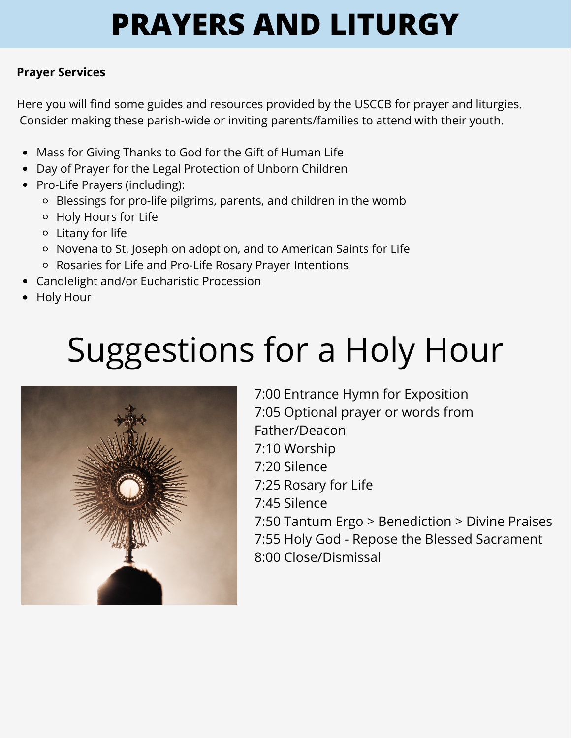### **Prayer Services**

Here you will find some guides and resources provided by the USCCB for prayer and liturgies. Consider making these parish-wide or inviting parents/families to attend with their youth.

- Mass for Giving Thanks to God for the Gift of Human Life
- Day of Prayer for the Legal Protection of Unborn Children
- Pro-Life Prayers (including):
	- Blessings for pro-life pilgrims, parents, and children in the womb
	- Holy Hours for Life
	- Litany for life
	- Novena to St. Joseph on adoption, and to American Saints for Life
	- Rosaries for Life and Pro-Life Rosary Prayer Intentions
- Candlelight and/or Eucharistic Procession
- Holy Hour

# Suggestions for a Holy Hour



7:00 Entrance Hymn for Exposition 7:05 Optional prayer or words from Father/Deacon 7:10 Worship 7:20 Silence 7:25 Rosary for Life 7:45 Silence 7:50 Tantum Ergo > Benediction > Divine Praises 7:55 Holy God - Repose the Blessed Sacrament 8:00 Close/Dismissal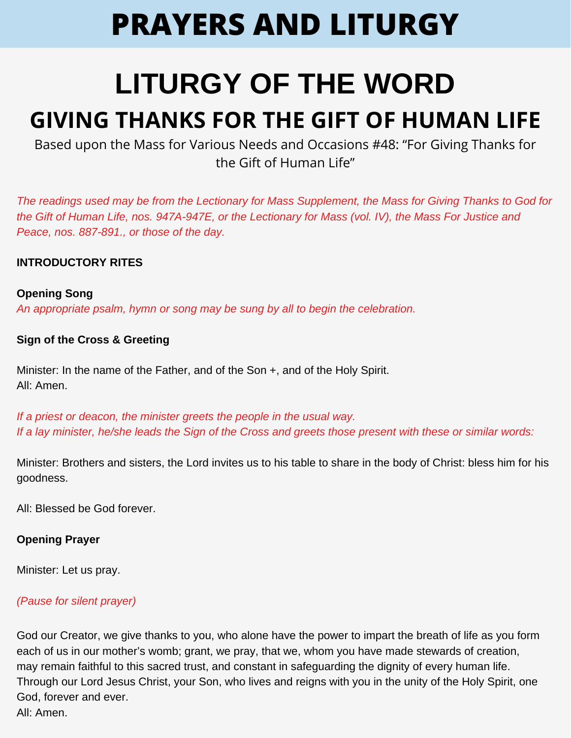### **LITURGY OF THE WORD GIVING THANKS FOR THE GIFT OF HUMAN LIFE**

Based upon the Mass for Various Needs and Occasions #48: "For Giving Thanks for the Gift of Human Life"

*The readings used may be from the Lectionary for Mass Supplement, the Mass for Giving Thanks to God for the Gift of Human Life, nos. 947A-947E, or the Lectionary for Mass (vol. IV), the Mass For Justice and Peace, nos. 887-891., or those of the day.*

#### **INTRODUCTORY RITES**

#### **Opening Song**

*An appropriate psalm, hymn or song may be sung by all to begin the celebration.*

#### **Sign of the Cross & Greeting**

Minister: In the name of the Father, and of the Son +, and of the Holy Spirit. All: Amen.

*If a priest or deacon, the minister greets the people in the usual way. If a lay minister, he/she leads the Sign of the Cross and greets those present with these or similar words:*

Minister: Brothers and sisters, the Lord invites us to his table to share in the body of Christ: bless him for his goodness.

All: Blessed be God forever.

#### **Opening Prayer**

Minister: Let us pray.

#### *(Pause for silent prayer)*

God our Creator, we give thanks to you, who alone have the power to impart the breath of life as you form each of us in our mother's womb; grant, we pray, that we, whom you have made stewards of creation, may remain faithful to this sacred trust, and constant in safeguarding the dignity of every human life. Through our Lord Jesus Christ, your Son, who lives and reigns with you in the unity of the Holy Spirit, one God, forever and ever. All: Amen.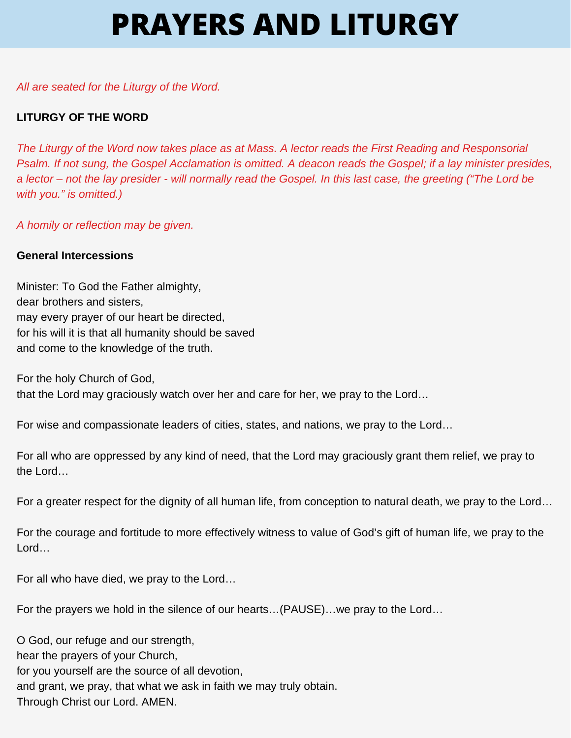#### *All are seated for the Liturgy of the Word.*

#### **LITURGY OF THE WORD**

*The Liturgy of the Word now takes place as at Mass. A lector reads the First Reading and Responsorial Psalm. If not sung, the Gospel Acclamation is omitted. A deacon reads the Gospel; if a lay minister presides, a lector – not the lay presider - will normally read the Gospel. In this last case, the greeting ("The Lord be with you." is omitted.)*

*A homily or reflection may be given.*

#### **General Intercessions**

Minister: To God the Father almighty, dear brothers and sisters, may every prayer of our heart be directed, for his will it is that all humanity should be saved and come to the knowledge of the truth.

For the holy Church of God, that the Lord may graciously watch over her and care for her, we pray to the Lord…

For wise and compassionate leaders of cities, states, and nations, we pray to the Lord…

For all who are oppressed by any kind of need, that the Lord may graciously grant them relief, we pray to the Lord…

For a greater respect for the dignity of all human life, from conception to natural death, we pray to the Lord…

For the courage and fortitude to more effectively witness to value of God's gift of human life, we pray to the Lord…

For all who have died, we pray to the Lord…

For the prayers we hold in the silence of our hearts…(PAUSE)…we pray to the Lord…

O God, our refuge and our strength, hear the prayers of your Church, for you yourself are the source of all devotion, and grant, we pray, that what we ask in faith we may truly obtain. Through Christ our Lord. AMEN.